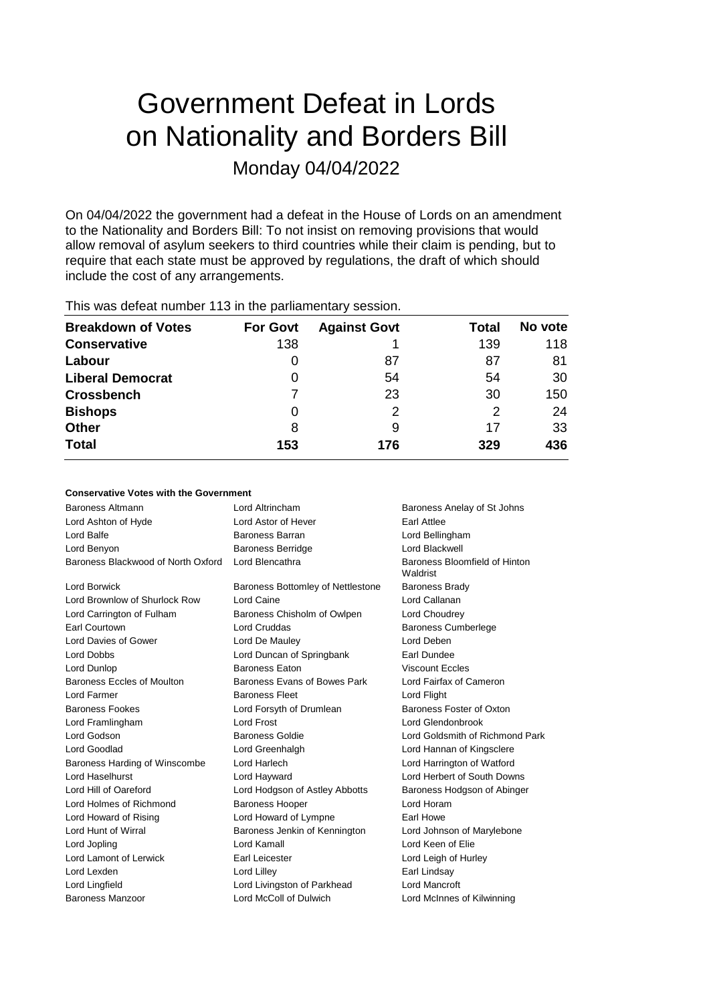# Government Defeat in Lords on Nationality and Borders Bill Monday 04/04/2022

On 04/04/2022 the government had a defeat in the House of Lords on an amendment to the Nationality and Borders Bill: To not insist on removing provisions that would allow removal of asylum seekers to third countries while their claim is pending, but to require that each state must be approved by regulations, the draft of which should include the cost of any arrangements.

| <b>Breakdown of Votes</b> | <b>For Govt</b> | <b>Against Govt</b> | Total | No vote |
|---------------------------|-----------------|---------------------|-------|---------|
| <b>Conservative</b>       | 138             |                     | 139   | 118     |
| Labour                    | 0               | 87                  | 87    | 81      |
| <b>Liberal Democrat</b>   | 0               | 54                  | 54    | 30      |
| <b>Crossbench</b>         |                 | 23                  | 30    | 150     |
| <b>Bishops</b>            | 0               | 2                   | 2     | 24      |
| <b>Other</b>              | 8               | 9                   | 17    | 33      |
| <b>Total</b>              | 153             | 176                 | 329   | 436     |
|                           |                 |                     |       |         |

This was defeat number 113 in the parliamentary session.

# **Conservative Votes with the Government**

| Baroness Altmann                   | Lord Altrincham                   | Baroness Anelay of St Johns               |
|------------------------------------|-----------------------------------|-------------------------------------------|
| Lord Ashton of Hyde                | Lord Astor of Hever               | <b>Farl Attlee</b>                        |
| Lord Balfe                         | Baroness Barran                   | Lord Bellingham                           |
| Lord Benyon                        | <b>Baroness Berridge</b>          | Lord Blackwell                            |
| Baroness Blackwood of North Oxford | Lord Blencathra                   | Baroness Bloomfield of Hinton<br>Waldrist |
| <b>Lord Borwick</b>                | Baroness Bottomley of Nettlestone | <b>Baroness Brady</b>                     |
| Lord Brownlow of Shurlock Row      | Lord Caine                        | Lord Callanan                             |
| Lord Carrington of Fulham          | Baroness Chisholm of Owlpen       | Lord Choudrey                             |
| Earl Courtown                      | Lord Cruddas                      | <b>Baroness Cumberlege</b>                |
| Lord Davies of Gower               | Lord De Mauley                    | Lord Deben                                |
| <b>Lord Dobbs</b>                  | Lord Duncan of Springbank         | Earl Dundee                               |
| Lord Dunlop                        | <b>Baroness Eaton</b>             | <b>Viscount Eccles</b>                    |
| Baroness Eccles of Moulton         | Baroness Evans of Bowes Park      | Lord Fairfax of Cameron                   |
| Lord Farmer                        | <b>Baroness Fleet</b>             | Lord Flight                               |
| <b>Baroness Fookes</b>             | Lord Forsyth of Drumlean          | Baroness Foster of Oxton                  |
| Lord Framlingham                   | <b>Lord Frost</b>                 | Lord Glendonbrook                         |
| Lord Godson                        | <b>Baroness Goldie</b>            | Lord Goldsmith of Richmond Park           |
| Lord Goodlad                       | Lord Greenhalgh                   | Lord Hannan of Kingsclere                 |
| Baroness Harding of Winscombe      | Lord Harlech                      | Lord Harrington of Watford                |
| Lord Haselhurst                    | Lord Hayward                      | Lord Herbert of South Downs               |
| Lord Hill of Oareford              | Lord Hodgson of Astley Abbotts    | Baroness Hodgson of Abinger               |
| Lord Holmes of Richmond            | <b>Baroness Hooper</b>            | Lord Horam                                |
| Lord Howard of Rising              | Lord Howard of Lympne             | Earl Howe                                 |
| Lord Hunt of Wirral                | Baroness Jenkin of Kennington     | Lord Johnson of Marylebone                |
| Lord Jopling                       | Lord Kamall                       | Lord Keen of Elie                         |
| Lord Lamont of Lerwick             | Earl Leicester                    | Lord Leigh of Hurley                      |
| Lord Lexden                        | Lord Lilley                       | Earl Lindsay                              |
| Lord Lingfield                     | Lord Livingston of Parkhead       | Lord Mancroft                             |
| Baroness Manzoor                   | Lord McColl of Dulwich            | Lord McInnes of Kilwinning                |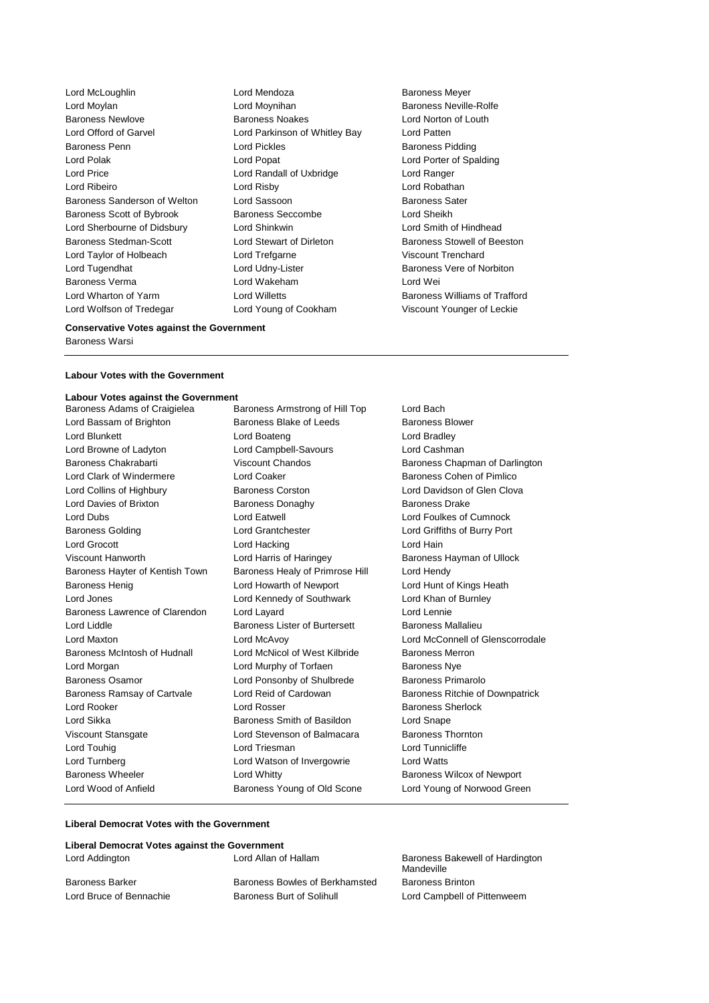Lord McLoughlin Lord Mendoza Baroness Meyer Lord Moylan **Lord Moynihan** Lord Moynihan Baroness Neville-Rolfe Baroness Newlove Baroness Noakes Lord Norton of Louth Lord Offord of Garvel Lord Parkinson of Whitley Bay Lord Patten Baroness Penn **Connect Connect Connect Lord Pickles** Baroness Pidding Baroness Pidding Lord Polak Lord Popat Lord Porter of Spalding Lord Price Lord Randall of Uxbridge Lord Ranger Lord Ribeiro Lord Risby Lord Robathan Baroness Sanderson of Welton Lord Sassoon and Baroness Sater Baroness Scott of Bybrook Baroness Seccombe Lord Sheikh Lord Sherbourne of Didsbury Lord Shinkwin Lord Smith of Hindhead Baroness Stedman-Scott **Lord Stewart of Dirleton** Baroness Stowell of Beeston Lord Taylor of Holbeach Lord Trefgarne Viscount Trenchard Lord Tugendhat Lord Udny-Lister Baroness Vere of Norbiton Baroness Verma Lord Wakeham Lord Wei Lord Wharton of Yarm Lord Willetts Baroness Williams of Trafford Lord Wolfson of Tredegar Lord Young of Cookham Viscount Younger of Leckie

### **Conservative Votes against the Government**

Baroness Warsi

### **Labour Votes with the Government**

**Labour Votes against the Government** Baroness Adams of Craigielea Baroness Armstrong of Hill Top Lord Bach Lord Bassam of Brighton **Baroness Blake of Leeds** Baroness Blower Lord Blunkett **Lord Boateng** Lord Boateng **Lord Bradley** Lord Browne of Ladyton Lord Campbell-Savours Lord Cashman Baroness Chakrabarti Viscount Chandos Baroness Chapman of Darlington Lord Clark of Windermere Lord Coaker Baroness Cohen of Pimlico Lord Collins of Highbury Baroness Corston Lord Davidson of Glen Clova Lord Davies of Brixton Baroness Donaghy Baroness Drake Lord Dubs Lord Eatwell Lord Foulkes of Cumnock Baroness Golding Lord Grantchester Lord Griffiths of Burry Port Lord Grocott **Lord Hacking** Lord Hacking **Lord Hain** Viscount Hanworth **Lord Harris of Haringey** Baroness Hayman of Ullock Baroness Hayter of Kentish Town Baroness Healy of Primrose Hill Lord Hendy Baroness Henig **Lord Howarth of Newport** Lord Hunt of Kings Heath Lord Jones Lord Kennedy of Southwark Lord Khan of Burnley Baroness Lawrence of Clarendon Lord Layard Lord Lennie Lord Liddle **Baroness Lister of Burtersett** Baroness Mallalieu Lord Maxton Lord McAvoy Lord McConnell of Glenscorrodale Baroness McIntosh of Hudnall Lord McNicol of West Kilbride Baroness Merron Lord Morgan Lord Murphy of Torfaen Baroness Nye Baroness Osamor Lord Ponsonby of Shulbrede Baroness Primarolo Baroness Ramsay of Cartvale Lord Reid of Cardowan Baroness Ritchie of Downpatrick Lord Rooker Lord Rosser Baroness Sherlock Lord Sikka Baroness Smith of Basildon Lord Snape Viscount Stansgate Lord Stevenson of Balmacara Baroness Thornton Lord Touhig **Lord Triesman** Lord Triesman **Lord Tunnicliffe** Lord Turnberg Lord Watson of Invergowrie Lord Watts Baroness Wheeler **Lord Whitty Communist Baroness Wilcox of Newport Baroness Wilcox of Newport** Lord Wood of Anfield Baroness Young of Old Scone Lord Young of Norwood Green

### **Liberal Democrat Votes with the Government**

| Liberal Democrat Votes against the Government |                                |                                               |
|-----------------------------------------------|--------------------------------|-----------------------------------------------|
| Lord Addington                                | Lord Allan of Hallam           | Baroness Bakewell of Hardington<br>Mandeville |
| <b>Baroness Barker</b>                        | Baroness Bowles of Berkhamsted | <b>Baroness Brinton</b>                       |
| Lord Bruce of Bennachie                       | Baroness Burt of Solihull      | Lord Campbell of Pittenweem                   |